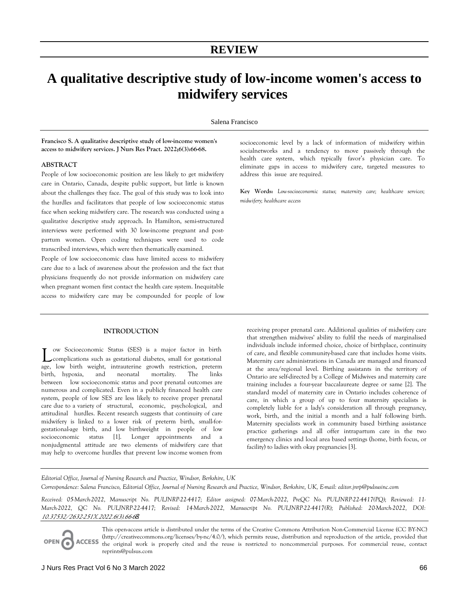# **A qualitative descriptive study of low-income women's access to midwifery services**

Salena Francisco

**Francisco S. A qualitative descriptive study of low-income women's access to midwifery services. J Nurs Res Pract. 2022;6(3):66-68.**

# **ABSTRACT**

People of low socioeconomic position are less likely to get midwifery care in Ontario, Canada, despite public support, but little is known about the challenges they face. The goal of this study was to look into the hurdles and facilitators that people of low socioeconomic status face when seeking midwifery care. The research was conducted using a qualitative descriptive study approach. In Hamilton, semi-structured interviews were performed with 30 low-income pregnant and postpartum women. Open coding techniques were used to code transcribed interviews, which were then thematically examined.

People of low socioeconomic class have limited access to midwifery care due to a lack of awareness about the profession and the fact that physicians frequently do not provide information on midwifery care when pregnant women first contact the health care system. Inequitable access to midwifery care may be compounded for people of low

# **INTRODUCTION**

ow Socioeconomic Status (SES) is a major factor in birth complications such as gestational diabetes, small for gestational Low Socioeconomic Status (SES) is a major factor in birth complications such as gestational diabetes, small for gestational age, low birth weight, intrauterine growth restriction, preterm birth, hypoxia, and neonatal mortality. The links between low socioeconomic status and poor prenatal outcomes are numerous and complicated. Even in a publicly financed health care system, people of low SES are less likely to receive proper prenatal care due to a variety of structural, economic, psychological, and attitudinal hurdles. Recent research suggests that continuity of care midwifery is linked to a lower risk of preterm birth, small-forgestational-age birth, and low birthweight in people of low socioeconomic status [1]. Longer appointments and a nonjudgmental attitude are two elements of midwifery care that may help to overcome hurdles that prevent low income women from

socioeconomic level by a lack of information of midwifery within socialnetworks and a tendency to move passively through the health care system, which typically favor's physician care. To eliminate gaps in access to midwifery care, targeted measures to address this issue are required.

**Key Words:** *Low-socioeconomic status; maternity care; healthcare services; midwifery; healthcare access*

receiving proper prenatal care. Additional qualities of midwifery care that strengthen midwives' ability to fulfil the needs of marginalised individuals include informed choice, choice of birthplace, continuity of care, and flexible community-based care that includes home visits. Maternity care administrations in Canada are managed and financed at the area/regional level. Birthing assistants in the territory of Ontario are self-directed by a College of Midwives and maternity care training includes a four-year baccalaureate degree or same [2]. The standard model of maternity care in Ontario includes coherence of care, in which a group of up to four maternity specialists is completely liable for a lady's consideration all through pregnancy, work, birth, and the initial a month and a half following birth. Maternity specialists work in community based birthing assistance practice gatherings and all offer intrapartum care in the two emergency clinics and local area based settings (home, birth focus, or facility) to ladies with okay pregnancies [3].

*Editorial Office, Journal of Nursing Research and Practice, Windsor, Berkshire, UK Correspondence: Salena Francisco, Editorial Office, Journal of Nursing Research and Practice, Windsor, Berkshire, UK, E-mail: editor.jnrp@pulsusinc.com* 

*Received: 05-March-2022, Manuscript No. PULJNRP-22-4417; Editor assigned: 07-March-2022, PreQC No. PULJNRP-22-4417(PQ); Reviewed: 11- March-2022, QC No. PULJNRP-22-4417; Revised: 14-March-2022, Manuscript No. PULJNRP-22-4417(R); Published: 20-March-2022, DOI: 10.37532/2632-251X.2022.6(3).66-6*8*.*

This open-access article is distributed under the terms of the Creative Commons Attribution Non-Commercial License (CC BY-NC) (http://creativecommons.org/licenses/by-nc/4.0/), which permits reuse, distribution and reproduction of the article, provided that **ACCESS** the original work is properly cited and the reuse is restricted to noncommercial purposes. For commercial reuse, contact reprints@pulsus.com

OPEN G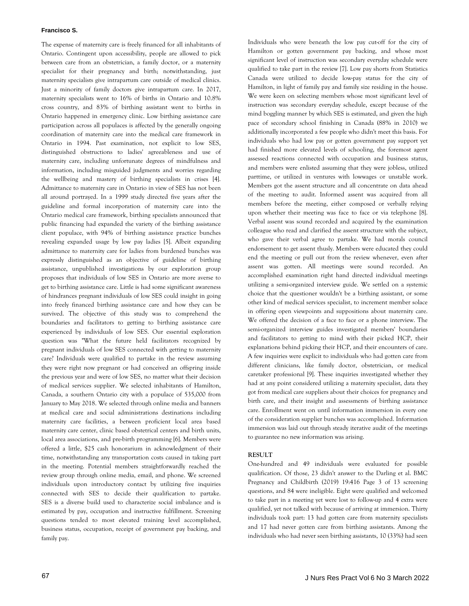# **Francisco S.**

The expense of maternity care is freely financed for all inhabitants of Ontario. Contingent upon accessibility, people are allowed to pick between care from an obstetrician, a family doctor, or a maternity specialist for their pregnancy and birth; notwithstanding, just maternity specialists give intrapartum care outside of medical clinics. Just a minority of family doctors give intrapartum care. In 2017, maternity specialists went to 16% of births in Ontario and 10.8% cross country, and 83% of birthing assistant went to births in Ontario happened in emergency clinic. Low birthing assistance care participation across all populaces is affected by the generally ongoing coordination of maternity care into the medical care framework in Ontario in 1994. Past examination, not explicit to low SES, distinguished obstructions to ladies' agreeableness and use of maternity care, including unfortunate degrees of mindfulness and information, including misguided judgments and worries regarding the wellbeing and mastery of birthing specialists in crises [4]. Admittance to maternity care in Ontario in view of SES has not been all around portrayed. In a 1999 study directed five years after the guideline and formal incorporation of maternity care into the Ontario medical care framework, birthing specialists announced that public financing had expanded the variety of the birthing assistance client populace, with 94% of birthing assistance practice bunches revealing expanded usage by low pay ladies [5]. Albeit expanding admittance to maternity care for ladies from burdened bunches was expressly distinguished as an objective of guideline of birthing assistance, unpublished investigations by our exploration group proposes that individuals of low SES in Ontario are more averse to get to birthing assistance care. Little is had some significant awareness of hindrances pregnant individuals of low SES could insight in going into freely financed birthing assistance care and how they can be survived. The objective of this study was to comprehend the boundaries and facilitators to getting to birthing assistance care experienced by individuals of low SES. Our essential exploration question was "What the future held facilitators recognized by pregnant individuals of low SES connected with getting to maternity care? Individuals were qualified to partake in the review assuming they were right now pregnant or had conceived an offspring inside the previous year and were of low SES, no matter what their decision of medical services supplier. We selected inhabitants of Hamilton, Canada, a southern Ontario city with a populace of 535,000 from January to May 2018. We selected through online media and banners at medical care and social administrations destinations including maternity care facilities, a between proficient local area based maternity care center, clinic based obstetrical centers and birth units, local area associations, and pre-birth programming [6]. Members were offered a little, \$25 cash honorarium in acknowledgment of their time, notwithstanding any transportation costs caused in taking part in the meeting. Potential members straightforwardly reached the review group through online media, email, and phone. We screened individuals upon introductory contact by utilizing five inquiries connected with SES to decide their qualification to partake. SES is a diverse build used to characterize social imbalance and is estimated by pay, occupation and instructive fulfillment. Screening questions tended to most elevated training level accomplished, business status, occupation, receipt of government pay backing, and family pay.

Individuals who were beneath the low pay cut-off for the city of Hamilton or gotten government pay backing, and whose most significant level of instruction was secondary everyday schedule were qualified to take part in the review [7]. Low pay shorts from Statistics Canada were utilized to decide low-pay status for the city of Hamilton, in light of family pay and family size residing in the house. We were keen on selecting members whose most significant level of instruction was secondary everyday schedule, except because of the mind boggling manner by which SES is estimated, and given the high pace of secondary school finishing in Canada (88% in 2010) we additionally incorporated a few people who didn't meet this basis. For individuals who had low pay or gotten government pay support yet had finished more elevated levels of schooling, the foremost agent assessed reactions connected with occupation and business status, and members were enlisted assuming that they were jobless, utilized parttime, or utilized in ventures with lowwages or unstable work. Members got the assent structure and all concentrate on data ahead of the meeting to audit. Informed assent was acquired from all members before the meeting, either composed or verbally relying upon whether their meeting was face to face or via telephone [8]. Verbal assent was sound recorded and acquired by the examination colleague who read and clarified the assent structure with the subject, who gave their verbal agree to partake. We had morals council endorsement to get assent thusly. Members were educated they could end the meeting or pull out from the review whenever, even after assent was gotten. All meetings were sound recorded. An accomplished examination right hand directed individual meetings utilizing a semi-organized interview guide. We settled on a systemic choice that the questioner wouldn't be a birthing assistant, or some other kind of medical services specialist, to increment member solace in offering open viewpoints and suppositions about maternity care. We offered the decision of a face to face or a phone interview. The semi-organized interview guides investigated members' boundaries and facilitators to getting to mind with their picked HCP, their explanations behind picking their HCP, and their encounters of care. A few inquiries were explicit to individuals who had gotten care from different clinicians, like family doctor, obstetrician, or medical caretaker professional [9]. These inquiries investigated whether they had at any point considered utilizing a maternity specialist, data they got from medical care suppliers about their choices for pregnancy and birth care, and their insight and assessments of birthing assistance care. Enrollment went on until information immersion in every one of the consideration supplier bunches was accomplished. Information immersion was laid out through steady iterative audit of the meetings to guarantee no new information was arising.

# **RESULT**

One-hundred and 49 individuals were evaluated for possible qualification. Of those, 23 didn't answer to the Darling et al. BMC Pregnancy and Childbirth (2019) 19:416 Page 3 of 13 screening questions, and 84 were ineligible. Eight were qualified and welcomed to take part in a meeting yet were lost to follow-up and 4 extra were qualified, yet not talked with because of arriving at immersion. Thirty individuals took part: 13 had gotten care from maternity specialists and 17 had never gotten care from birthing assistants. Among the individuals who had never seen birthing assistants, 10 (33%) had seen